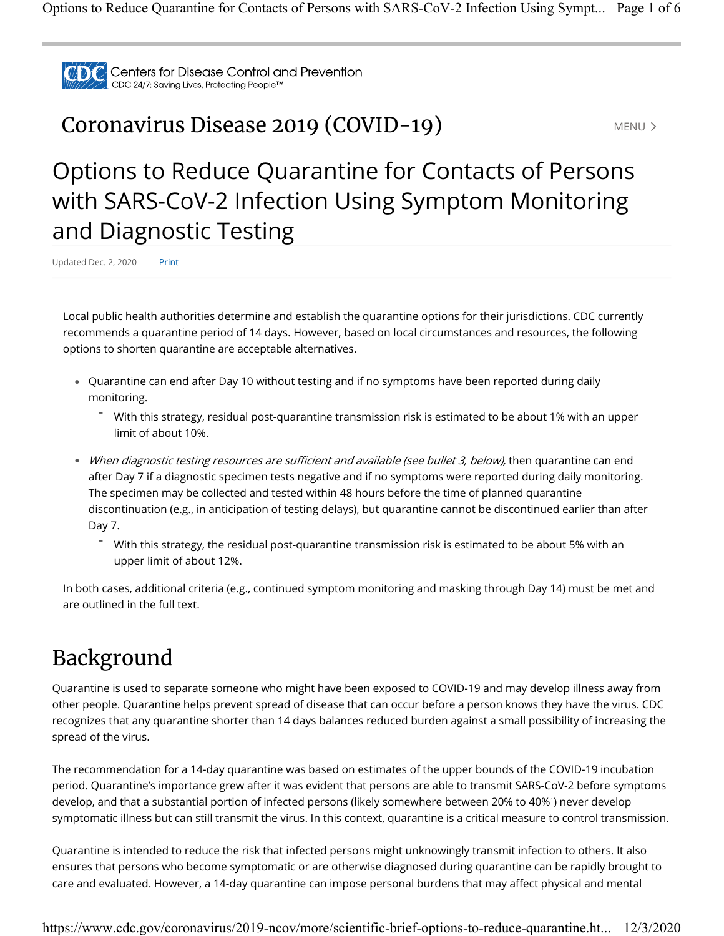

### **Coronavirus Disease 2019 (COVID-19)** MENU MENU >

# Options to Reduce Quarantine for Contacts of Persons with SARS-CoV-2 Infection Using Symptom Monitoring and Diagnostic Testing

Updated Dec. 2, 2020 Print

Local public health authorities determine and establish the quarantine options for their jurisdictions. CDC currently recommends a quarantine period of 14 days. However, based on local circumstances and resources, the following options to shorten quarantine are acceptable alternatives.

- Quarantine can end after Day 10 without testing and if no symptoms have been reported during daily monitoring.
	- $\overline{\phantom{a}}$  With this strategy, residual post-quarantine transmission risk is estimated to be about 1% with an upper limit of about 10%.
- When diagnostic testing resources are sufficient and available (see bullet 3, below), then quarantine can end after Day 7 if a diagnostic specimen tests negative and if no symptoms were reported during daily monitoring. The specimen may be collected and tested within 48 hours before the time of planned quarantine discontinuation (e.g., in anticipation of testing delays), but quarantine cannot be discontinued earlier than after Day 7.
	- $\overline{\phantom{a}}$  With this strategy, the residual post-quarantine transmission risk is estimated to be about 5% with an upper limit of about 12%.

In both cases, additional criteria (e.g., continued symptom monitoring and masking through Day 14) must be met and are outlined in the full text.

### Background

Quarantine is used to separate someone who might have been exposed to COVID-19 and may develop illness away from other people. Quarantine helps prevent spread of disease that can occur before a person knows they have the virus. CDC recognizes that any quarantine shorter than 14 days balances reduced burden against a small possibility of increasing the spread of the virus.

The recommendation for a 14-day quarantine was based on estimates of the upper bounds of the COVID-19 incubation period. Quarantine's importance grew after it was evident that persons are able to transmit SARS-CoV-2 before symptoms develop, and that a substantial portion of infected persons (likely somewhere between 20% to 40% ) never develop 1 symptomatic illness but can still transmit the virus. In this context, quarantine is a critical measure to control transmission.

Quarantine is intended to reduce the risk that infected persons might unknowingly transmit infection to others. It also ensures that persons who become symptomatic or are otherwise diagnosed during quarantine can be rapidly brought to care and evaluated. However, a 14-day quarantine can impose personal burdens that may affect physical and mental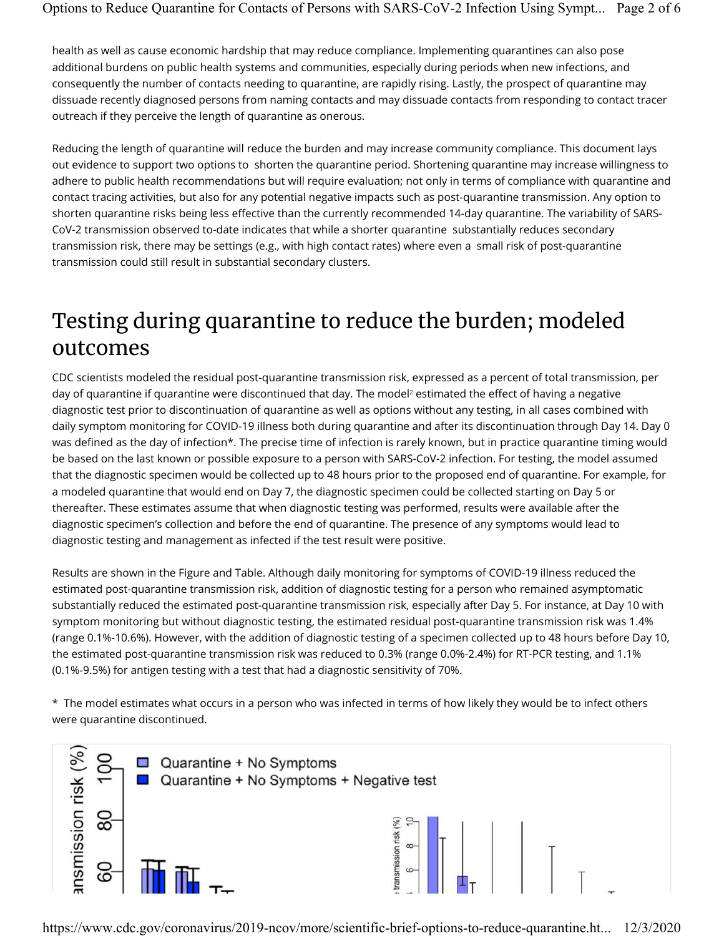health as well as cause economic hardship that may reduce compliance. Implementing quarantines can also pose additional burdens on public health systems and communities, especially during periods when new infections, and consequently the number of contacts needing to quarantine, are rapidly rising. Lastly, the prospect of quarantine may dissuade recently diagnosed persons from naming contacts and may dissuade contacts from responding to contact tracer outreach if they perceive the length of quarantine as onerous.

Reducing the length of quarantine will reduce the burden and may increase community compliance. This document lays out evidence to support two options to shorten the quarantine period. Shortening quarantine may increase willingness to adhere to public health recommendations but will require evaluation; not only in terms of compliance with quarantine and contact tracing activities, but also for any potential negative impacts such as post-quarantine transmission. Any option to shorten quarantine risks being less effective than the currently recommended 14-day quarantine. The variability of SARS-CoV-2 transmission observed to-date indicates that while a shorter quarantine substantially reduces secondary transmission risk, there may be settings (e.g., with high contact rates) where even a small risk of post-quarantine transmission could still result in substantial secondary clusters.

### Testing during quarantine to reduce the burden; modeled outcomes

CDC scientists modeled the residual post-quarantine transmission risk, expressed as a percent of total transmission, per day of quarantine if quarantine were discontinued that day. The model<sup>2</sup> estimated the effect of having a negative diagnostic test prior to discontinuation of quarantine as well as options without any testing, in all cases combined with daily symptom monitoring for COVID-19 illness both during quarantine and after its discontinuation through Day 14. Day 0 was defined as the day of infection\*. The precise time of infection is rarely known, but in practice quarantine timing would be based on the last known or possible exposure to a person with SARS-CoV-2 infection. For testing, the model assumed that the diagnostic specimen would be collected up to 48 hours prior to the proposed end of quarantine. For example, for a modeled quarantine that would end on Day 7, the diagnostic specimen could be collected starting on Day 5 or thereafter. These estimates assume that when diagnostic testing was performed, results were available after the diagnostic specimen's collection and before the end of quarantine. The presence of any symptoms would lead to diagnostic testing and management as infected if the test result were positive.

Results are shown in the Figure and Table. Although daily monitoring for symptoms of COVID-19 illness reduced the estimated post-quarantine transmission risk, addition of diagnostic testing for a person who remained asymptomatic substantially reduced the estimated post-quarantine transmission risk, especially after Day 5. For instance, at Day 10 with symptom monitoring but without diagnostic testing, the estimated residual post-quarantine transmission risk was 1.4% (range 0.1%-10.6%). However, with the addition of diagnostic testing of a specimen collected up to 48 hours before Day 10, the estimated post-quarantine transmission risk was reduced to 0.3% (range 0.0%-2.4%) for RT-PCR testing, and 1.1% (0.1%-9.5%) for antigen testing with a test that had a diagnostic sensitivity of 70%.

\* The model estimates what occurs in a person who was infected in terms of how likely they would be to infect others were quarantine discontinued.

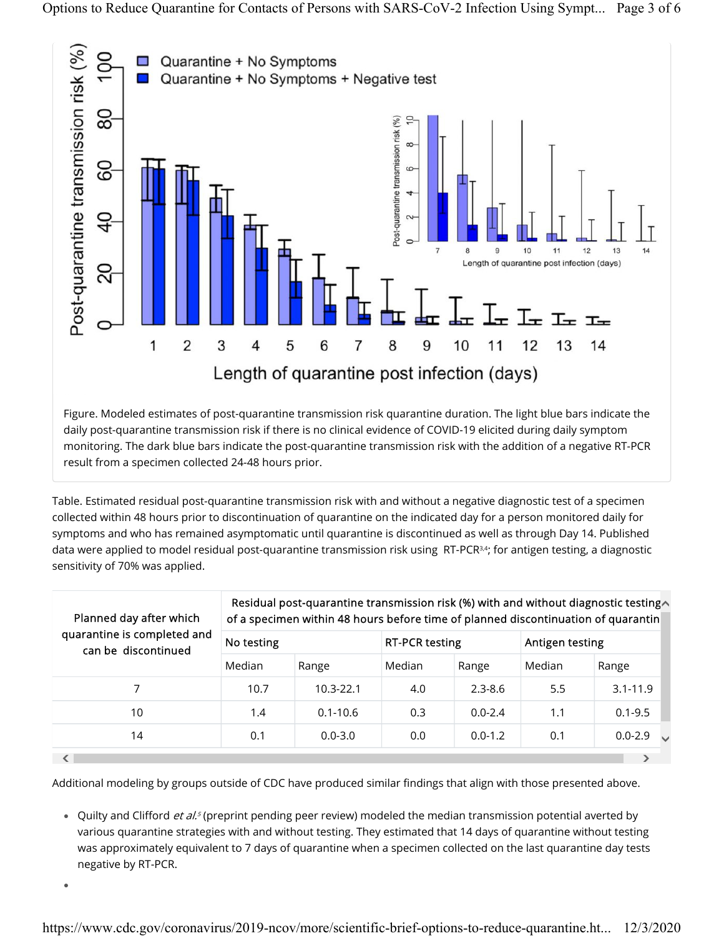

Figure. Modeled estimates of post-quarantine transmission risk quarantine duration. The light blue bars indicate the daily post-quarantine transmission risk if there is no clinical evidence of COVID-19 elicited during daily symptom monitoring. The dark blue bars indicate the post-quarantine transmission risk with the addition of a negative RT-PCR result from a specimen collected 24-48 hours prior.

Table. Estimated residual post-quarantine transmission risk with and without a negative diagnostic test of a specimen collected within 48 hours prior to discontinuation of quarantine on the indicated day for a person monitored daily for symptoms and who has remained asymptomatic until quarantine is discontinued as well as through Day 14. Published data were applied to model residual post-quarantine transmission risk using RT-PCR34; for antigen testing, a diagnostic sensitivity of 70% was applied.

| Planned day after which<br>quarantine is completed and<br>can be discontinued | Residual post-quarantine transmission risk (%) with and without diagnostic testing<br>of a specimen within 48 hours before time of planned discontinuation of quarantin |               |                       |             |                 |                                         |
|-------------------------------------------------------------------------------|-------------------------------------------------------------------------------------------------------------------------------------------------------------------------|---------------|-----------------------|-------------|-----------------|-----------------------------------------|
|                                                                               | No testing                                                                                                                                                              |               | <b>RT-PCR testing</b> |             | Antigen testing |                                         |
|                                                                               | Median                                                                                                                                                                  | Range         | Median                | Range       | Median          | Range                                   |
|                                                                               | 10.7                                                                                                                                                                    | $10.3 - 22.1$ | 4.0                   | $2.3 - 8.6$ | 5.5             | $3.1 - 11.9$                            |
| 10                                                                            | 1.4                                                                                                                                                                     | $0.1 - 10.6$  | 0.3                   | $0.0 - 2.4$ | 1.1             | $0.1 - 9.5$                             |
| 14                                                                            | 0.1                                                                                                                                                                     | $0.0 - 3.0$   | 0.0                   | $0.0 - 1.2$ | 0.1             | $0.0 - 2.9$<br>$\overline{\phantom{a}}$ |
|                                                                               |                                                                                                                                                                         |               |                       |             |                 |                                         |

Additional modeling by groups outside of CDC have produced similar findings that align with those presented above.

• Quilty and Clifford *et al.<sup>5</sup>* (preprint pending peer review) modeled the median transmission potential averted by various quarantine strategies with and without testing. They estimated that 14 days of quarantine without testing was approximately equivalent to 7 days of quarantine when a specimen collected on the last quarantine day tests negative by RT-PCR.

●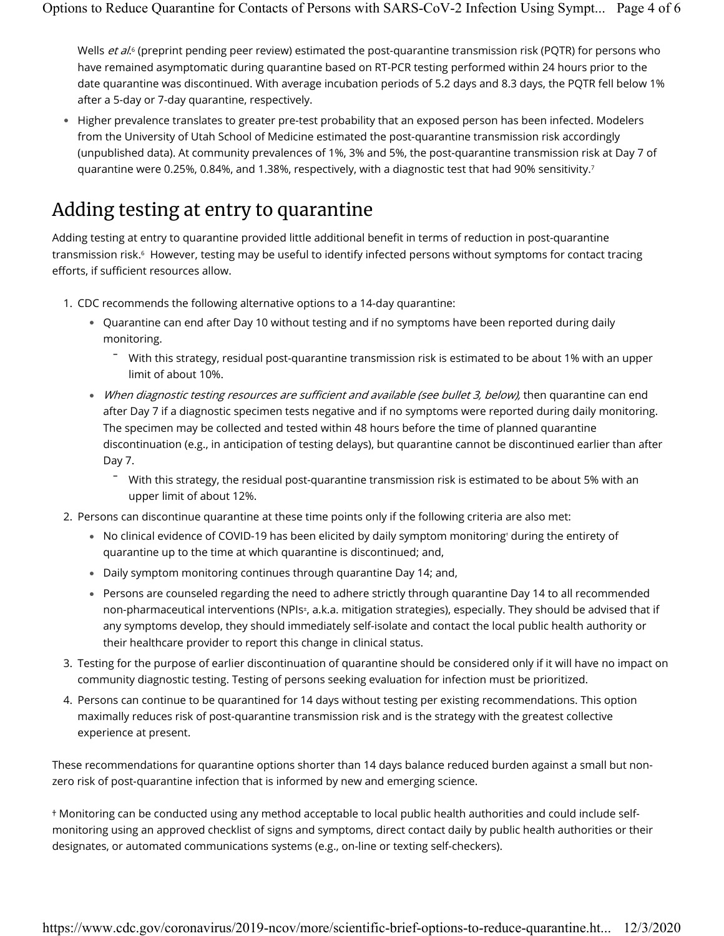Wells *et al*.<sup>6</sup> (preprint pending peer review) estimated the post-quarantine transmission risk (PQTR) for persons who have remained asymptomatic during quarantine based on RT-PCR testing performed within 24 hours prior to the date quarantine was discontinued. With average incubation periods of 5.2 days and 8.3 days, the PQTR fell below 1% after a 5-day or 7-day quarantine, respectively.

Higher prevalence translates to greater pre-test probability that an exposed person has been infected. Modelers ● from the University of Utah School of Medicine estimated the post-quarantine transmission risk accordingly (unpublished data). At community prevalences of 1%, 3% and 5%, the post-quarantine transmission risk at Day 7 of quarantine were 0.25%, 0.84%, and 1.38%, respectively, with a diagnostic test that had 90% sensitivity. $^7$ 

#### Adding testing at entry to quarantine

Adding testing at entry to quarantine provided little additional benefit in terms of reduction in post-quarantine transmission risk.6 However, testing may be useful to identify infected persons without symptoms for contact tracing efforts, if sufficient resources allow.

- 1. CDC recommends the following alternative options to a 14-day quarantine:
	- Quarantine can end after Day 10 without testing and if no symptoms have been reported during daily monitoring.
		- With this strategy, residual post-quarantine transmission risk is estimated to be about 1% with an upper limit of about 10%. -
	- When diagnostic testing resources are sufficient and available (see bullet 3, below), then quarantine can end after Day 7 if a diagnostic specimen tests negative and if no symptoms were reported during daily monitoring. The specimen may be collected and tested within 48 hours before the time of planned quarantine discontinuation (e.g., in anticipation of testing delays), but quarantine cannot be discontinued earlier than after Day 7.
		- With this strategy, the residual post-quarantine transmission risk is estimated to be about 5% with an upper limit of about 12%.
- 2. Persons can discontinue quarantine at these time points only if the following criteria are also met:
	- No clinical evidence of COVID-19 has been elicited by daily symptom monitoring during the entirety of quarantine up to the time at which quarantine is discontinued; and,
	- Daily symptom monitoring continues through quarantine Day 14; and,
	- Persons are counseled regarding the need to adhere strictly through quarantine Day 14 to all recommended non-pharmaceutical interventions (NPIs±, a.k.a. mitigation strategies), especially. They should be advised that if any symptoms develop, they should immediately self-isolate and contact the local public health authority or their healthcare provider to report this change in clinical status.
- 3. Testing for the purpose of earlier discontinuation of quarantine should be considered only if it will have no impact on community diagnostic testing. Testing of persons seeking evaluation for infection must be prioritized.
- 4. Persons can continue to be quarantined for 14 days without testing per existing recommendations. This option maximally reduces risk of post-quarantine transmission risk and is the strategy with the greatest collective experience at present.

These recommendations for quarantine options shorter than 14 days balance reduced burden against a small but nonzero risk of post-quarantine infection that is informed by new and emerging science.

† Monitoring can be conducted using any method acceptable to local public health authorities and could include selfmonitoring using an approved checklist of signs and symptoms, direct contact daily by public health authorities or their designates, or automated communications systems (e.g., on-line or texting self-checkers).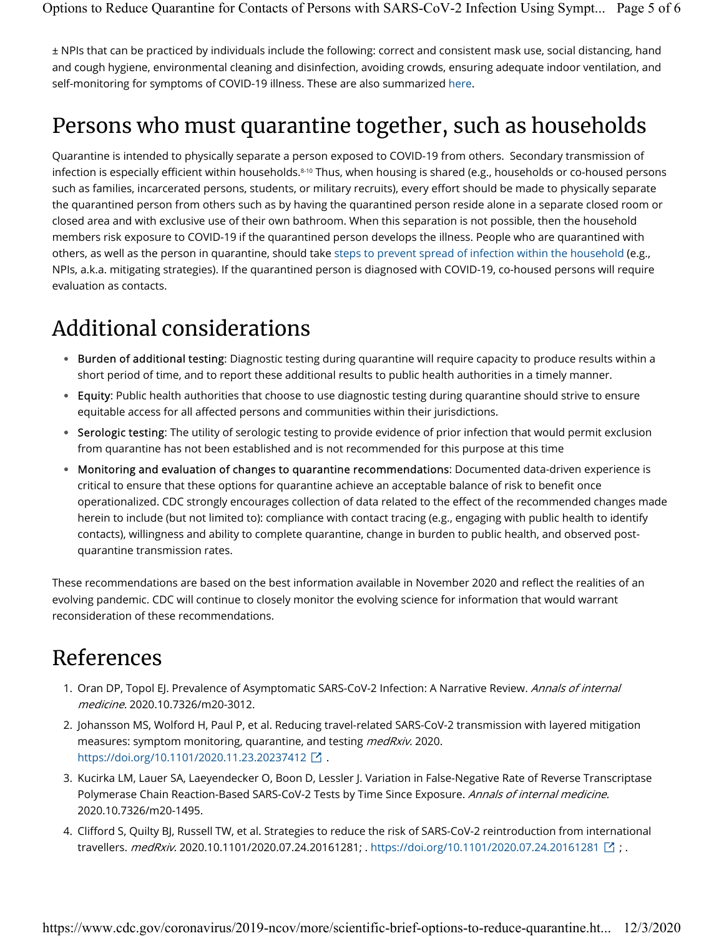± NPIs that can be practiced by individuals include the following: correct and consistent mask use, social distancing, hand and cough hygiene, environmental cleaning and disinfection, avoiding crowds, ensuring adequate indoor ventilation, and self-monitoring for symptoms of COVID-19 illness. These are also summarized here.

## Persons who must quarantine together, such as households

Quarantine is intended to physically separate a person exposed to COVID-19 from others. Secondary transmission of infection is especially efficient within households.8-10 Thus, when housing is shared (e.g., households or co-housed persons such as families, incarcerated persons, students, or military recruits), every effort should be made to physically separate the quarantined person from others such as by having the quarantined person reside alone in a separate closed room or closed area and with exclusive use of their own bathroom. When this separation is not possible, then the household members risk exposure to COVID-19 if the quarantined person develops the illness. People who are quarantined with others, as well as the person in quarantine, should take steps to prevent spread of infection within the household (e.g., NPIs, a.k.a. mitigating strategies). If the quarantined person is diagnosed with COVID-19, co-housed persons will require evaluation as contacts.

### Additional considerations

- Burden of additional testing: Diagnostic testing during quarantine will require capacity to produce results within a short period of time, and to report these additional results to public health authorities in a timely manner.
- $\bullet~$  Equity: Public health authorities that choose to use diagnostic testing during quarantine should strive to ensure equitable access for all affected persons and communities within their jurisdictions.
- Serologic testing: The utility of serologic testing to provide evidence of prior infection that would permit exclusion from quarantine has not been established and is not recommended for this purpose at this time
- Monitoring and evaluation of changes to quarantine recommendations: Documented data-driven experience is critical to ensure that these options for quarantine achieve an acceptable balance of risk to benefit once operationalized. CDC strongly encourages collection of data related to the effect of the recommended changes made herein to include (but not limited to): compliance with contact tracing (e.g., engaging with public health to identify contacts), willingness and ability to complete quarantine, change in burden to public health, and observed postquarantine transmission rates.

These recommendations are based on the best information available in November 2020 and reflect the realities of an evolving pandemic. CDC will continue to closely monitor the evolving science for information that would warrant reconsideration of these recommendations.

### References

- 1. Oran DP, Topol EJ. Prevalence of Asymptomatic SARS-CoV-2 Infection: A Narrative Review. Annals of internal medicine. 2020.10.7326/m20-3012.
- 2. Johansson MS, Wolford H, Paul P, et al. Reducing travel-related SARS-CoV-2 transmission with layered mitigation measures: symptom monitoring, quarantine, and testing *medRxiv.* 2020. https://doi.org/10.1101/2020.11.23.20237412  $\boxed{\cdot}$  .
- 3. Kucirka LM, Lauer SA, Laeyendecker O, Boon D, Lessler J. Variation in False-Negative Rate of Reverse Transcriptase Polymerase Chain Reaction-Based SARS-CoV-2 Tests by Time Since Exposure. Annals of internal medicine. 2020.10.7326/m20-1495.
- 4. Clifford S, Quilty BJ, Russell TW, et al. Strategies to reduce the risk of SARS-CoV-2 reintroduction from international travellers. *medRxiv.* 2020.10.1101/2020.07.24.20161281; . https://doi.org/10.1101/2020.07.24.20161281  $\boxdot$  ; .